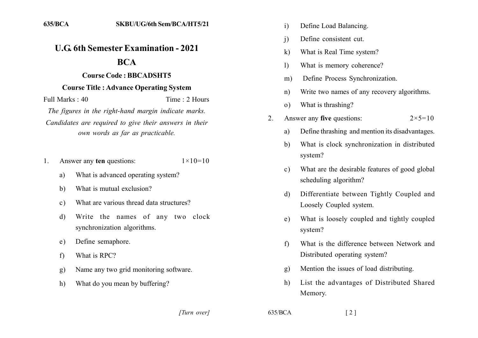## **U.G. 6th Semester Examination - 2021**

## **BCA**

## **Course Code: BBCADSHT5**

## **Course Title: Advance Operating System**

Full Marks  $\cdot$  40 Time: 2 Hours

The figures in the right-hand margin indicate marks. Candidates are required to give their answers in their own words as far as practicable.

- Answer any ten questions:  $1 \times 10 = 10$  $1_{-}$ 
	- What is advanced operating system? a)
	- $b)$ What is mutual exclusion?
	- What are various thread data structures?  $c)$
	- Write the names of any two clock  $\mathbf{d}$ synchronization algorithms.
	- Define semaphore.  $e)$
	- What is RPC?  $f$
	- Name any two grid monitoring software.  $g)$
	- $h)$ What do you mean by buffering?
- Define Load Balancing.  $\mathbf{i}$
- Define consistent cut  $\mathbf{i}$
- What is Real Time system?  $\bf k$
- What is memory coherence?  $\left| \right\rangle$
- Define Process Synchronization.  $m)$
- Write two names of any recovery algorithms.  $n)$
- What is thrashing?  $\Omega$ )
- Answer any five questions:  $2 \times 5 = 10$  $\mathfrak{D}$ 
	- Define thrashing and mention its disadvantages. a)
	- What is clock synchronization in distributed  $h$ system?
	- What are the desirable features of good global  $\mathbf{c}$ ) scheduling algorithm?
	- Differentiate between Tightly Coupled and  $\mathbf{d}$ Loosely Coupled system.
	- What is loosely coupled and tightly coupled e) system?
	- What is the difference between Network and  $f$ Distributed operating system?
	- Mention the issues of load distributing.  $\mathbf{g}$ )
	- List the advantages of Distributed Shared  $h)$ Memory.

[Turn over]

 $635/BCA$